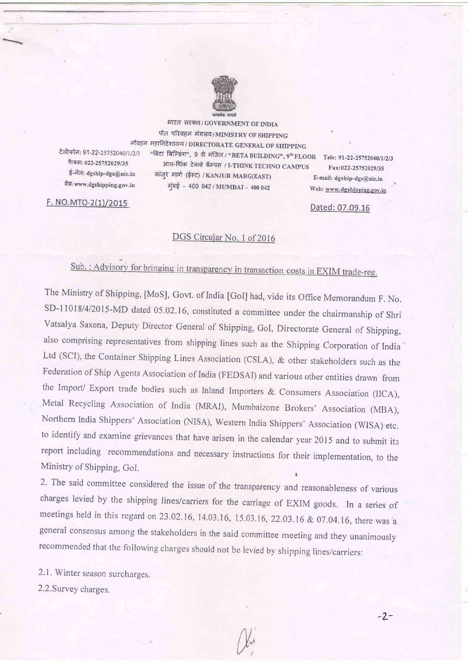

भारत सरकार/ GOVERNMENT OF INDIA

टेलीफोन: 91-22-25752040/1/2/3 फैक्स: 022-25752029/35 ई-मेल: dgship-dgs@nic.in वेब: www.dgshipping.gov.in

पोत परिवहन मंत्रालय/MINISTRY OF SHIPPING नौवहन महानिदेशालय/DIRECTORATE GENERAL OF SHIPPING "बिटा बिल्डिंग", 9 वी मंजिल / "BETA BUILDING", 9<sup>th</sup> FLOOR Tele: 91-22-25752040/1/2/3 आय-थिंक टेक्नो कॅम्पस / I-THINK TECHNO CAMPUS कांजुर मार्ग (ईस्ट) / KANJUR MARG(EAST) मुंबई - 400 042 / MUMBAI - 400 042

Fax:022-25752029/35 E-mail: dgship-dgs@nic.in Web: www.dgshipping.gov.in

Dated: 07.09.16

## F. NO.MTO-2(1)/2015

## DGS Circular No. 1 of 2016

## Sub.: Advisory for bringing in transparency in transaction costs in EXIM trade-reg.

The Ministry of Shipping, [MoS], Govt. of India [GoI] had, vide its Office Memorandum F. No. SD-11018/4/2015-MD dated 05.02.16, constituted a committee under the chairmanship of Shri Vatsalya Saxena, Deputy Director General of Shipping, GoI, Directorate General of Shipping, also comprising representatives from shipping lines such as the Shipping Corporation of India Ltd (SCI), the Container Shipping Lines Association (CSLA), & other stakeholders such as the Federation of Ship Agents Association of India (FEDSAI) and various other entities drawn from the Import/ Export trade bodies such as Inland Importers & Consumers Association (IICA), Metal Recycling Association of India (MRAI), Mumbaizone Brokers' Association (MBA), Northern India Shippers' Association (NISA), Western India Shippers' Association (WISA) etc. to identify and examine grievances that have arisen in the calendar year 2015 and to submit its report including recommendations and necessary instructions for their implementation, to the Ministry of Shipping, GoI.

2. The said committee considered the issue of the transparency and reasonableness of various charges levied by the shipping lines/carriers for the carriage of EXIM goods. In a series of meetings held in this regard on 23.02.16, 14.03.16, 15.03.16, 22.03.16 & 07.04.16, there was a general consensus among the stakeholders in the said committee meeting and they unanimously recommended that the following charges should not be levied by shipping lines/carriers:

2.1. Winter season surcharges.

2.2. Survey charges.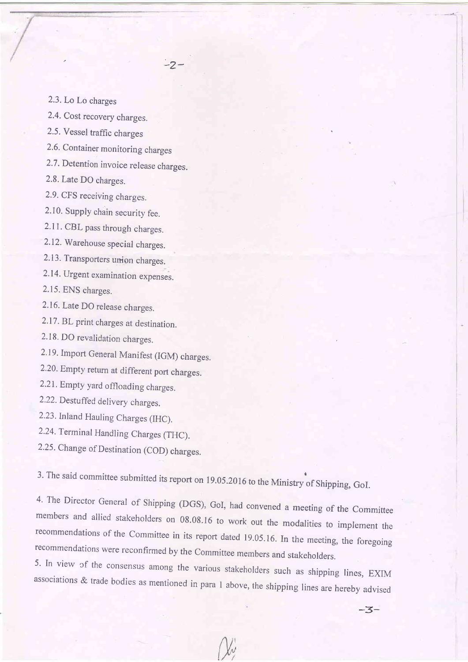2.3.Lo Lo charges

2.4. Cost recovery charges.

2.5. Vessel traffic charges

2.6. Container monitoring charges

2.7 . Detention invoice release charges.

 $-2-$ 

2.8.Late DO charges.

2.9. CFS receiving charges.

2.10. Supply chain security fee.

2.11. CBL pass through charges.

2.12. Warehouse special charges.

2.13. Transporters union charges.

2.14. Urgent examination expenses.

2.15. ENS charges.

2.16.Late DO release charges.

2.17 . BL print charges at destination.

2.18. DO revalidation charges.

2.19. Import General Manifest (IGM) charges.

2.20.Empty return at different port charges.

2.21 . Empty yard offloading charges.

2.22. Destuffed delivery charges.

2.23. Inland Hauling Charges (IHC).

2.24. Terminal Handling Charges (THC).

2.25. Change of Destination (COD) charges.

3. The said committee submitted its report on 19.05.2016 to the Ministry of Shipping, GoI.

4. The Director General of Shipping (DGS), GoI, had convened a meeting of the Committee members and allied stakeholders on 08.08.16 to work out the modalities to implement the recommendations of the Committee in its report recommendations were reconfirmed by the Committee members and stakeholders.

5' in view cf the consensus among the various stakeholders such as shipping lines, EXIM associations & trade bodies as mentioned in para I above, the shipping lines are hereby advised

 $-3-$